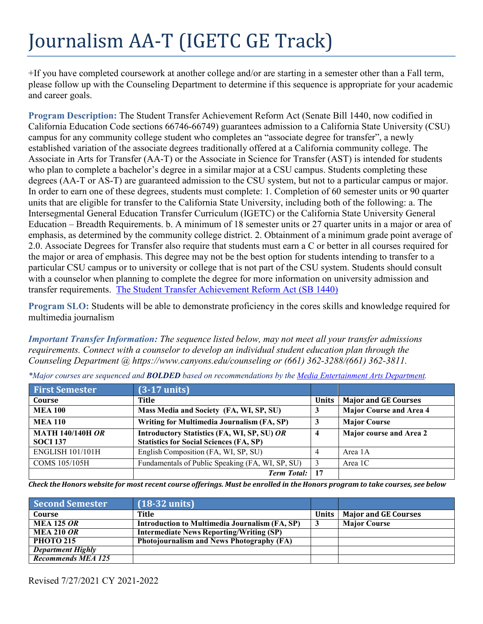# Journalism AA-T (IGETC GE Track)

+If you have completed coursework at another college and/or are starting in a semester other than a Fall term, please follow up with the Counseling Department to determine if this sequence is appropriate for your academic and career goals.

**Program Description:** The Student Transfer Achievement Reform Act (Senate Bill 1440, now codified in California Education Code sections 66746-66749) guarantees admission to a California State University (CSU) campus for any community college student who completes an "associate degree for transfer", a newly established variation of the associate degrees traditionally offered at a California community college. The Associate in Arts for Transfer (AA-T) or the Associate in Science for Transfer (AST) is intended for students who plan to complete a bachelor's degree in a similar major at a CSU campus. Students completing these degrees (AA-T or AS-T) are guaranteed admission to the CSU system, but not to a particular campus or major. In order to earn one of these degrees, students must complete: 1. Completion of 60 semester units or 90 quarter units that are eligible for transfer to the California State University, including both of the following: a. The Intersegmental General Education Transfer Curriculum (IGETC) or the California State University General Education – Breadth Requirements. b. A minimum of 18 semester units or 27 quarter units in a major or area of emphasis, as determined by the community college district. 2. Obtainment of a minimum grade point average of 2.0. Associate Degrees for Transfer also require that students must earn a C or better in all courses required for the major or area of emphasis. This degree may not be the best option for students intending to transfer to a particular CSU campus or to university or college that is not part of the CSU system. Students should consult with a counselor when planning to complete the degree for more information on university admission and transfer requirements. The Student Transfer [Achievement Reform](https://www2.calstate.edu/apply/transfer/Pages/ccc-associate-degree-for-transfer.aspx) Act (SB 1440)

**Program SLO:** Students will be able to demonstrate proficiency in the cores skills and knowledge required for multimedia journalism

*Important Transfer Information: The sequence listed below, may not meet all your transfer admissions requirements. Connect with a counselor to develop an individual student education plan through the Counseling Department @ https:/[/www.canyons.edu/counseling](http://www.canyons.edu/counseling) or (661) 362-3288/(661) 362-3811.*

| <b>First Semester</b>                      | $(3-17$ units)                                                                                |                |                                |
|--------------------------------------------|-----------------------------------------------------------------------------------------------|----------------|--------------------------------|
| Course                                     | Title                                                                                         | <b>Units</b>   | <b>Major and GE Courses</b>    |
| <b>MEA 100</b>                             | Mass Media and Society (FA, WI, SP, SU)                                                       | 3              | <b>Major Course and Area 4</b> |
| <b>MEA 110</b>                             | Writing for Multimedia Journalism (FA, SP)                                                    | 3              | <b>Major Course</b>            |
| <b>MATH 140/140H OR</b><br><b>SOCI 137</b> | Introductory Statistics (FA, WI, SP, SU) OR<br><b>Statistics for Social Sciences (FA, SP)</b> | $\overline{4}$ | Major course and Area 2        |
| <b>ENGLISH 101/101H</b>                    | English Composition (FA, WI, SP, SU)                                                          | 4              | Area 1A                        |
| COMS 105/105H                              | Fundamentals of Public Speaking (FA, WI, SP, SU)                                              | 3              | Area 1C                        |
|                                            | <b>Term Total:</b>                                                                            | -17            |                                |

*\*Major courses are sequenced and BOLDED based on recommendations by the Media [Entertainment](https://www.canyons.edu/academics/mea/index.php) Arts Department.*

Check the Honors website for most recent course offerings. Must be enrolled in the Honors program to take courses, see below

| Second Semester           | $(18-32 \text{ units})$                          |         |                             |
|---------------------------|--------------------------------------------------|---------|-----------------------------|
| Course                    | <b>Title</b>                                     | Units l | <b>Major and GE Courses</b> |
| <b>MEA 125 OR</b>         | Introduction to Multimedia Journalism (FA, SP)   | 3       | <b>Major Course</b>         |
| <b>MEA 210 OR</b>         | <b>Intermediate News Reporting/Writing (SP)</b>  |         |                             |
| <b>PHOTO 215</b>          | <b>Photojournalism and News Photography (FA)</b> |         |                             |
| <b>Department Highly</b>  |                                                  |         |                             |
| <b>Recommends MEA 125</b> |                                                  |         |                             |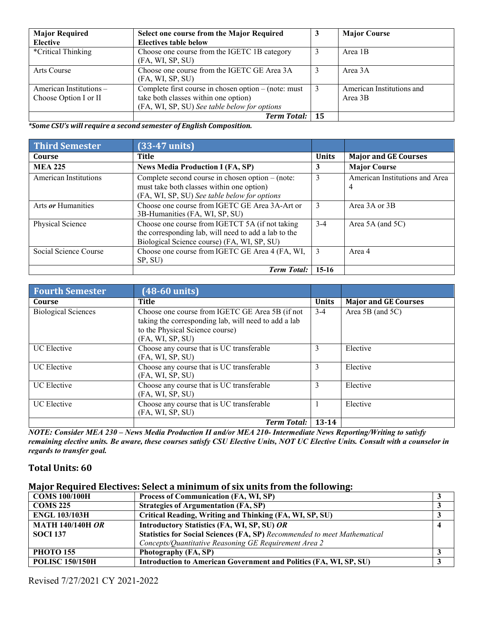| <b>Major Required</b>   | Select one course from the Major Required                        | 3  | <b>Major Course</b>       |
|-------------------------|------------------------------------------------------------------|----|---------------------------|
| Elective                | <b>Electives table below</b>                                     |    |                           |
| *Critical Thinking      | Choose one course from the IGETC 1B category<br>(FA, WI, SP, SU) | 3  | Area 1 <sub>B</sub>       |
| Arts Course             | Choose one course from the IGETC GE Area 3A<br>(FA, WI, SP, SU)  | 3  | Area 3A                   |
| American Institutions – | Complete first course in chosen option $-$ (note: must           | -3 | American Institutions and |
| Choose Option I or II   | take both classes within one option)                             |    | Area 3B                   |
|                         | (FA, WI, SP, SU) See table below for options                     |    |                           |
|                         | <b>Term Total:</b>                                               | 15 |                           |

*\*Some CSU's will require a second semester of English Composition.*

| <b>Third Semester</b>        | $(33-47 \text{ units})$                                                                                                                                |              |                                     |
|------------------------------|--------------------------------------------------------------------------------------------------------------------------------------------------------|--------------|-------------------------------------|
| Course                       | Title                                                                                                                                                  | <b>Units</b> | <b>Major and GE Courses</b>         |
| <b>MEA 225</b>               | <b>News Media Production I (FA, SP)</b>                                                                                                                | 3            | <b>Major Course</b>                 |
| <b>American Institutions</b> | Complete second course in chosen option – (note:<br>must take both classes within one option)<br>(FA, WI, SP, SU) See table below for options          | 3            | American Institutions and Area<br>4 |
| Arts <i>or</i> Humanities    | Choose one course from IGETC GE Area 3A-Art or<br>3B-Humanities (FA, WI, SP, SU)                                                                       | 3            | Area 3A or 3B                       |
| Physical Science             | Choose one course from IGETCT 5A (if not taking<br>the corresponding lab, will need to add a lab to the<br>Biological Science course) (FA, WI, SP, SU) | $3-4$        | Area 5A (and 5C)                    |
| Social Science Course        | Choose one course from IGETC GE Area 4 (FA, WI,<br>SP, SU)                                                                                             | 3            | Area 4                              |
|                              | <b>Term Total:</b>                                                                                                                                     | $15-16$      |                                     |

| <b>Fourth Semester</b>     | $(48-60 \text{ units})$                                                                                                                                        |              |                             |
|----------------------------|----------------------------------------------------------------------------------------------------------------------------------------------------------------|--------------|-----------------------------|
| Course                     | <b>Title</b>                                                                                                                                                   | <b>Units</b> | <b>Major and GE Courses</b> |
| <b>Biological Sciences</b> | Choose one course from IGETC GE Area 5B (if not<br>taking the corresponding lab, will need to add a lab<br>to the Physical Science course)<br>(FA, WI, SP, SU) | $3-4$        | Area 5B (and 5C)            |
| UC Elective                | Choose any course that is UC transferable<br>(FA, WI, SP, SU)                                                                                                  | 3            | Elective                    |
| UC Elective                | Choose any course that is UC transferable<br>(FA, WI, SP, SU)                                                                                                  | 3            | Elective                    |
| <b>UC</b> Elective         | Choose any course that is UC transferable<br>(FA, WI, SP, SU)                                                                                                  | 3            | Elective                    |
| UC Elective                | Choose any course that is UC transferable<br>(FA, WI, SP, SU)                                                                                                  |              | Elective                    |
|                            | <b>Term Total:</b>                                                                                                                                             | $13-14$      |                             |

*NOTE: Consider MEA 230 – News Media Production II and/or MEA 210- Intermediate News Reporting/Writing to satisfy remaining elective units. Be aware, these courses satisfy CSU Elective Units, NOT UC Elective Units. Consult with a counselor in regards to transfer goal.*

### **Total Units: 60**

## **Major Required Electives: Select a minimum of six units from the following:**

| <b>COMS 100/100H</b>    | <b>Process of Communication (FA, WI, SP)</b>                             |  |
|-------------------------|--------------------------------------------------------------------------|--|
| <b>COMS 225</b>         | <b>Strategies of Argumentation (FA, SP)</b>                              |  |
| <b>ENGL 103/103H</b>    | <b>Critical Reading, Writing and Thinking (FA, WI, SP, SU)</b>           |  |
| <b>MATH 140/140H OR</b> | Introductory Statistics (FA, WI, SP, SU) OR                              |  |
| <b>SOCI 137</b>         | Statistics for Social Sciences (FA, SP) Recommended to meet Mathematical |  |
|                         | Concepts/Quantitative Reasoning GE Requirement Area 2                    |  |
| <b>PHOTO 155</b>        | Photography (FA, SP)                                                     |  |
| <b>POLISC 150/150H</b>  | Introduction to American Government and Politics (FA, WI, SP, SU)        |  |

Revised 7/27/2021 CY 2021-2022